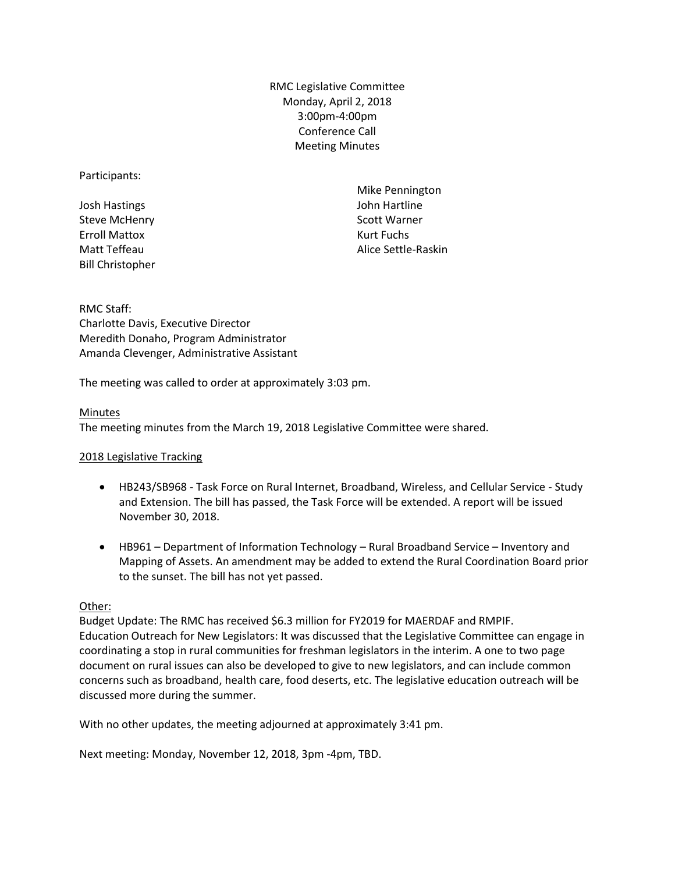RMC Legislative Committee Monday, April 2, 2018 3:00pm-4:00pm Conference Call Meeting Minutes

## Participants:

Josh Hastings Steve McHenry Erroll Mattox Matt Teffeau Bill Christopher

Mike Pennington John Hartline Scott Warner Kurt Fuchs Alice Settle-Raskin

RMC Staff: Charlotte Davis, Executive Director Meredith Donaho, Program Administrator Amanda Clevenger, Administrative Assistant

The meeting was called to order at approximately 3:03 pm.

## Minutes

The meeting minutes from the March 19, 2018 Legislative Committee were shared.

## 2018 Legislative Tracking

- HB243/SB968 Task Force on Rural Internet, Broadband, Wireless, and Cellular Service Study and Extension. The bill has passed, the Task Force will be extended. A report will be issued November 30, 2018.
- HB961 Department of Information Technology Rural Broadband Service Inventory and Mapping of Assets. An amendment may be added to extend the Rural Coordination Board prior to the sunset. The bill has not yet passed.

## Other:

Budget Update: The RMC has received \$6.3 million for FY2019 for MAERDAF and RMPIF. Education Outreach for New Legislators: It was discussed that the Legislative Committee can engage in coordinating a stop in rural communities for freshman legislators in the interim. A one to two page document on rural issues can also be developed to give to new legislators, and can include common concerns such as broadband, health care, food deserts, etc. The legislative education outreach will be discussed more during the summer.

With no other updates, the meeting adjourned at approximately 3:41 pm.

Next meeting: Monday, November 12, 2018, 3pm -4pm, TBD.